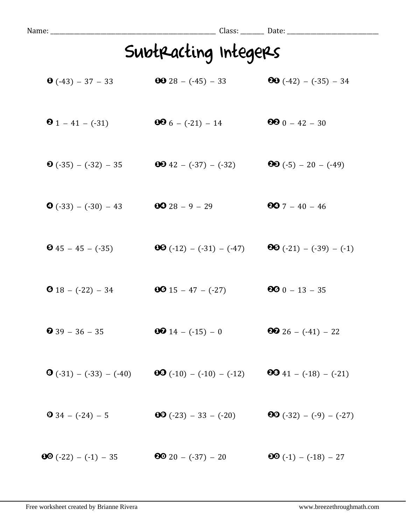| Name: ____________________      |                                                  |                                  |  |
|---------------------------------|--------------------------------------------------|----------------------------------|--|
| Subtracting Integers            |                                                  |                                  |  |
| $\bullet$ (-43) - 37 - 33       | <b>00</b> 28 - $(-45)$ - 33                      | <b>80</b> $(-42) - (-35) - 34$   |  |
| <b>0</b> 1 – 41 – $(-31)$       | $006 - (-21) - 14$                               | $990 - 42 - 30$                  |  |
| $\bullet$ (-35) – (-32) – 35    | $\bullet$ 42 – (-37) – (-32)                     | <b>80</b> $(-5) - 20 - (-49)$    |  |
| $\bullet$ (-33) – (-30) – 43    | $0028 - 9 - 29$                                  | $907 - 40 - 46$                  |  |
| $\bullet$ 45 - 45 - (-35)       | $\mathbf{0}\mathbf{0}(-12) - (-31) - (-47)$      | <b>80</b> $(-21) - (-39) - (-1)$ |  |
| <b>0</b> 18 - $(-22)$ - 34      | $0015 - 47 - (-27)$                              | $900 - 13 - 35$                  |  |
| $\bullet$ 39 - 36 - 35          | $0014 - (-15) - 0$                               | <b>80</b> 26 - $(-41)$ - 22      |  |
| $\bullet$ (-31) – (-33) – (-40) | $\bullet$ $(\cdot 10) - (\cdot 10) - (\cdot 12)$ | $\bullet$ 41 – (-18) – (-21)     |  |
| $934 - (-24) - 5$               | $\textbf{00} (-23) - 33 - (-20)$                 | <b>80</b> $(-32) - (-9) - (-27)$ |  |
| $\bullet$ (-22) – (-1) – 35     | $20 - (-37) - 20$                                | $60(-1) - (-18) - 27$            |  |